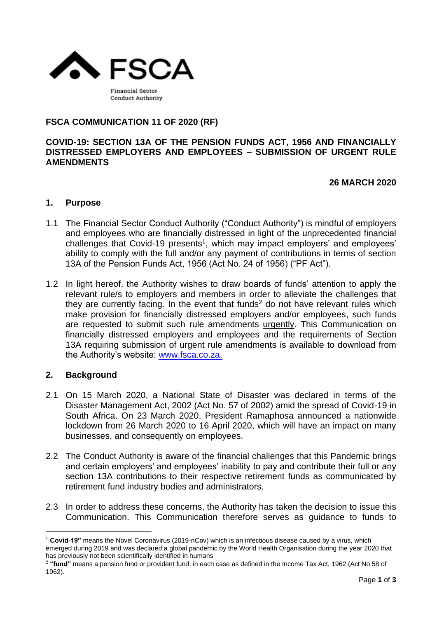

# **FSCA COMMUNICATION 11 OF 2020 (RF)**

#### **COVID-19: SECTION 13A OF THE PENSION FUNDS ACT, 1956 AND FINANCIALLY DISTRESSED EMPLOYERS AND EMPLOYEES – SUBMISSION OF URGENT RULE AMENDMENTS**

**26 MARCH 2020**

## **1. Purpose**

- 1.1 The Financial Sector Conduct Authority ("Conduct Authority") is mindful of employers and employees who are financially distressed in light of the unprecedented financial challenges that Covid-19 presents<sup>1</sup>, which may impact employers' and employees' ability to comply with the full and/or any payment of contributions in terms of section 13A of the Pension Funds Act, 1956 (Act No. 24 of 1956) ("PF Act").
- 1.2 In light hereof, the Authority wishes to draw boards of funds' attention to apply the relevant rule/s to employers and members in order to alleviate the challenges that they are currently facing. In the event that funds<sup>2</sup> do not have relevant rules which make provision for financially distressed employers and/or employees, such funds are requested to submit such rule amendments urgently. This Communication on financially distressed employers and employees and the requirements of Section 13A requiring submission of urgent rule amendments is available to download from the Authority's website: [www.fsca.co.za.](http://www.fsca.co.za./)

#### **2. Background**

- 2.1 On 15 March 2020, a National State of Disaster was declared in terms of the Disaster Management Act, 2002 (Act No. 57 of 2002) amid the spread of Covid-19 in South Africa. On 23 March 2020, President Ramaphosa announced a nationwide lockdown from 26 March 2020 to 16 April 2020, which will have an impact on many businesses, and consequently on employees.
- 2.2 The Conduct Authority is aware of the financial challenges that this Pandemic brings and certain employers' and employees' inability to pay and contribute their full or any section 13A contributions to their respective retirement funds as communicated by retirement fund industry bodies and administrators.
- 2.3 In order to address these concerns, the Authority has taken the decision to issue this Communication. This Communication therefore serves as guidance to funds to

<sup>&</sup>lt;sup>1</sup> Covid-19" means the Novel Coronavirus (2019-nCov) which is an infectious disease caused by a virus, which emerged during 2019 and was declared a global pandemic by the World Health Organisation during the year 2020 that has previously not been scientifically identified in humans

<sup>2</sup> **"fund"** means a pension fund or provident fund, in each case as defined in the Income Tax Act, 1962 (Act No 58 of 1962).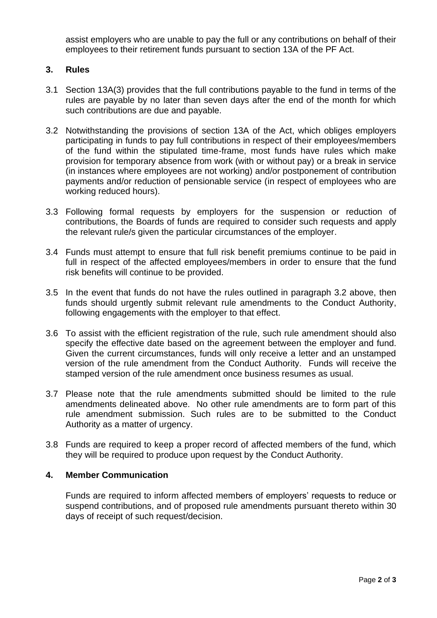assist employers who are unable to pay the full or any contributions on behalf of their employees to their retirement funds pursuant to section 13A of the PF Act.

## **3. Rules**

- 3.1 Section 13A(3) provides that the full contributions payable to the fund in terms of the rules are payable by no later than seven days after the end of the month for which such contributions are due and payable.
- 3.2 Notwithstanding the provisions of section 13A of the Act, which obliges employers participating in funds to pay full contributions in respect of their employees/members of the fund within the stipulated time-frame, most funds have rules which make provision for temporary absence from work (with or without pay) or a break in service (in instances where employees are not working) and/or postponement of contribution payments and/or reduction of pensionable service (in respect of employees who are working reduced hours).
- 3.3 Following formal requests by employers for the suspension or reduction of contributions, the Boards of funds are required to consider such requests and apply the relevant rule/s given the particular circumstances of the employer.
- 3.4 Funds must attempt to ensure that full risk benefit premiums continue to be paid in full in respect of the affected employees/members in order to ensure that the fund risk benefits will continue to be provided.
- 3.5 In the event that funds do not have the rules outlined in paragraph 3.2 above, then funds should urgently submit relevant rule amendments to the Conduct Authority, following engagements with the employer to that effect.
- 3.6 To assist with the efficient registration of the rule, such rule amendment should also specify the effective date based on the agreement between the employer and fund. Given the current circumstances, funds will only receive a letter and an unstamped version of the rule amendment from the Conduct Authority. Funds will receive the stamped version of the rule amendment once business resumes as usual.
- 3.7 Please note that the rule amendments submitted should be limited to the rule amendments delineated above. No other rule amendments are to form part of this rule amendment submission. Such rules are to be submitted to the Conduct Authority as a matter of urgency.
- 3.8 Funds are required to keep a proper record of affected members of the fund, which they will be required to produce upon request by the Conduct Authority.

#### **4. Member Communication**

Funds are required to inform affected members of employers' requests to reduce or suspend contributions, and of proposed rule amendments pursuant thereto within 30 days of receipt of such request/decision.